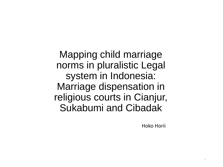Mapping child marriage norms in pluralistic Legal system in Indonesia: Marriage dispensation in religious courts in Cianjur, Sukabumi and Cibadak

Hoko Horii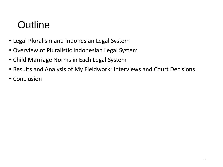## **Outline**

- Legal Pluralism and Indonesian Legal System
- Overview of Pluralistic Indonesian Legal System
- Child Marriage Norms in Each Legal System
- Results and Analysis of My Fieldwork: Interviews and Court Decisions
- Conclusion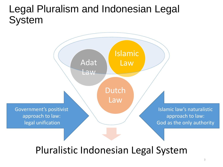### Legal Pluralism and Indonesian Legal System



Pluralistic Indonesian Legal System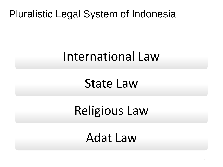Pluralistic Legal System of Indonesia

# International Law

State Law

Religious Law

Adat Law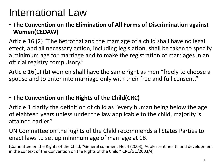## International Law

#### • **The Convention on the Elimination of All Forms of Discrimination against Women(CEDAW)**

Article 16 (2) "The betrothal and the marriage of a child shall have no legal effect, and all necessary action, including legislation, shall be taken to specify a minimum age for marriage and to make the registration of marriages in an official registry compulsory."

Article 16(1) (b) women shall have the same right as men "freely to choose a spouse and to enter into marriage only with their free and full consent."

#### • **The Convention on the Rights of the Child(CRC)**

Article 1 clarify the definition of child as "every human being below the age of eighteen years unless under the law applicable to the child, majority is attained earlier."

UN Committee on the Rights of the Child recommends all States Parties to enact laws to set up minimum age of marriage at 18.

(Committee on the Rights of the Child, "General comment No. 4 (2003), Adolescent health and development in the context of the Convention on the Rights of the Child," CRC/GC/2003/4)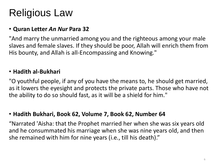## Religious Law

#### • **Quran Letter** *An Nur* **Para 32**

"And marry the unmarried among you and the righteous among your male slaves and female slaves. If they should be poor, Allah will enrich them from His bounty, and Allah is all-Encompassing and Knowing."

#### • **Hadith al-Bukhari**

"O youthful people, if any of you have the means to, he should get married, as it lowers the eyesight and protects the private parts. Those who have not the ability to do so should fast, as it will be a shield for him."

#### • **Hadith Bukhari, Book 62, Volume 7, Book 62, Number 64**

"Narrated 'Aisha: that the Prophet married her when she was six years old and he consummated his marriage when she was nine years old, and then she remained with him for nine years (i.e., till his death)."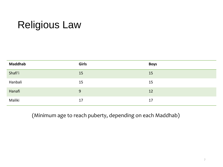## Religious Law

| <b>Maddhab</b> | Girls | <b>Boys</b> |
|----------------|-------|-------------|
| Shafi'i        | 15    | 15          |
| Hanbali        | 15    | 15          |
| Hanafi         | 9     | 12          |
| Maliki         | 17    | 17          |

(Minimum age to reach puberty, depending on each Maddhab)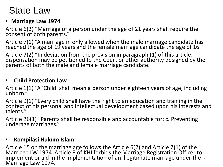### State Law

#### • **Marriage Law 1974**

Article 6(2) "Marriage of a person under the age of 21 years shall require the consent of both parents."

Article 7(1) "A marriage in only allowed when the male marriage candidate has reached the age of 19 years and the female marriage candidate the age of 16."

Article 7(2) "In deviation from the provision in paragraph (1) of this article, dispensation may be petitioned to the Court or other authority designed by the parents of both the male and female marriage candidate."

#### • **Child Protection Law**

Article 1(1) "A 'Child' shall mean a person under eighteen years of age, including unborn."

Article 9(1) "Every child shall have the right to an education and training in the context of his personal and intellectual development based upon his interests and talents."

Article 26(1) "Parents shall be responsible and accountable for: c. Preventing underage marriages."

#### • **Kompilasi Hukum Islam**

Article 15 on the marriage age follows the Article 6(2) and Article 7(1) of the Marriage LW 1974. Article 8 of KHI forbids the Marriage Registration Officer to implement or aid in the implementation of an illegitimate marriage under the  $\,$   $_{\rm s}$ Marriage Law 1974.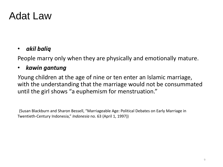### Adat Law

#### • *akil baliq*

People marry only when they are physically and emotionally mature.

#### • *kawin gantung*

*Y*oung children at the age of nine or ten enter an Islamic marriage, with the understanding that the marriage would not be consummated until the girl shows "a euphemism for menstruation."

(Susan Blackburn and Sharon Bessell, "Marriageable Age: Political Debates on Early Marriage in Twentieth-Century Indonesia," *Indonesia* no. 63 (April 1, 1997))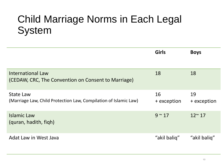### Child Marriage Norms in Each Legal System

|                                                                                      | <b>Girls</b>      | <b>Boys</b>       |
|--------------------------------------------------------------------------------------|-------------------|-------------------|
| <b>International Law</b><br>(CEDAW, CRC, The Convention on Consent to Marriage)      | 18                | 18                |
| <b>State Law</b><br>(Marriage Law, Child Protection Law, Compilation of Islamic Law) | 16<br>+ exception | 19<br>+ exception |
| <b>Islamic Law</b><br>(quran, hadith, figh)                                          | $9 \sim 17$       | $12^{\sim} 17$    |
| Adat Law in West Java                                                                | "akil baliq"      | "akil baliq"      |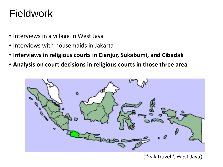### Fieldwork

- Interviews in a village in West Java
- Interviews with housemaids in Jakarta
- **Interviews in religious courts in Cianjur, Sukabumi, and Cibadak**
- **Analysis on court decisions in religious courts in those three area**



 $('')$ wikitravel'', West Java)  $_{_{\mathrm{11}}}$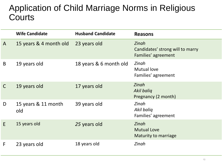### Application of Child Marriage Norms in Religious **Courts**

|              | <b>Wife Candidate</b>      | <b>Husband Candidate</b> | <b>Reasons</b>                                                   |
|--------------|----------------------------|--------------------------|------------------------------------------------------------------|
| $\mathsf{A}$ | 15 years & 4 month old     | 23 years old             | Zinah<br>Candidates' strong will to marry<br>Families' agreement |
| B            | 19 years old               | 18 years & 6 month old   | Zinah<br><b>Mutual love</b><br>Families' agreement               |
|              | 19 years old               | 17 years old             | Zinah<br><b>Akil baliq</b><br>Pregnancy (2 month)                |
| D            | 15 years & 11 month<br>old | 39 years old             | Zinah<br>Akil baliq<br>Families' agreement                       |
| E            | 15 years old               | 25 years old             | Zinah<br><b>Mutual Love</b><br>Maturity to marriage              |
| F            | 23 years old               | 18 years old             | Zinah                                                            |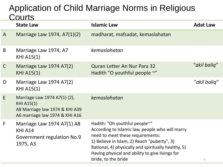### Application of Child Marriage Norms in Religious **Courts**

|              | <b>State Law</b>                                                                                                      | <b>Islamic Law</b>                                                                                                                                                                                                                                                                                   | <b>Adat Law</b> |
|--------------|-----------------------------------------------------------------------------------------------------------------------|------------------------------------------------------------------------------------------------------------------------------------------------------------------------------------------------------------------------------------------------------------------------------------------------------|-----------------|
| $\mathsf{A}$ | Marriage Law 1974, A7(1)(2)                                                                                           | madharat, mafsadat, kemaslahatan                                                                                                                                                                                                                                                                     |                 |
| B            | Marriage Law 1974, A7<br><b>KHI A15(1)</b>                                                                            | kemaslahatan                                                                                                                                                                                                                                                                                         |                 |
| $\mathsf{C}$ | Marriage Law 1974 A7(2)<br><b>KHI A15(1)</b>                                                                          | Quran Letter An Nur Para 32<br>Hadith "O youthful people $\sim$ "                                                                                                                                                                                                                                    | "akil baliq"    |
| D            | Marriage Law 1974 A7(2)<br>KHI A15(1)                                                                                 |                                                                                                                                                                                                                                                                                                      | "akil baliq"    |
| E            | Marriage Law 1974 A7(1) (2),<br><b>KHI A15(1)</b><br>A8 Marriage law 1974 & KHI A39<br>A6 marriage law 1974 & KHI A16 | kemaslahatan                                                                                                                                                                                                                                                                                         |                 |
| F            | Marriage Law 1974 A7(1) A8<br>KHI A14<br>Government regulation No.9<br>1975, A3                                       | Hadith: "Oh youthful people~"<br>According to Islamic law, people who will marry<br>need to meet these requirements:<br>1) Believe in Islam, 2) Reach "puberty", 3)<br>Rational, 4) physically and spiritually healthy, 5)<br>Having physical and ability to give livings for<br>bride, to the bride | 13              |